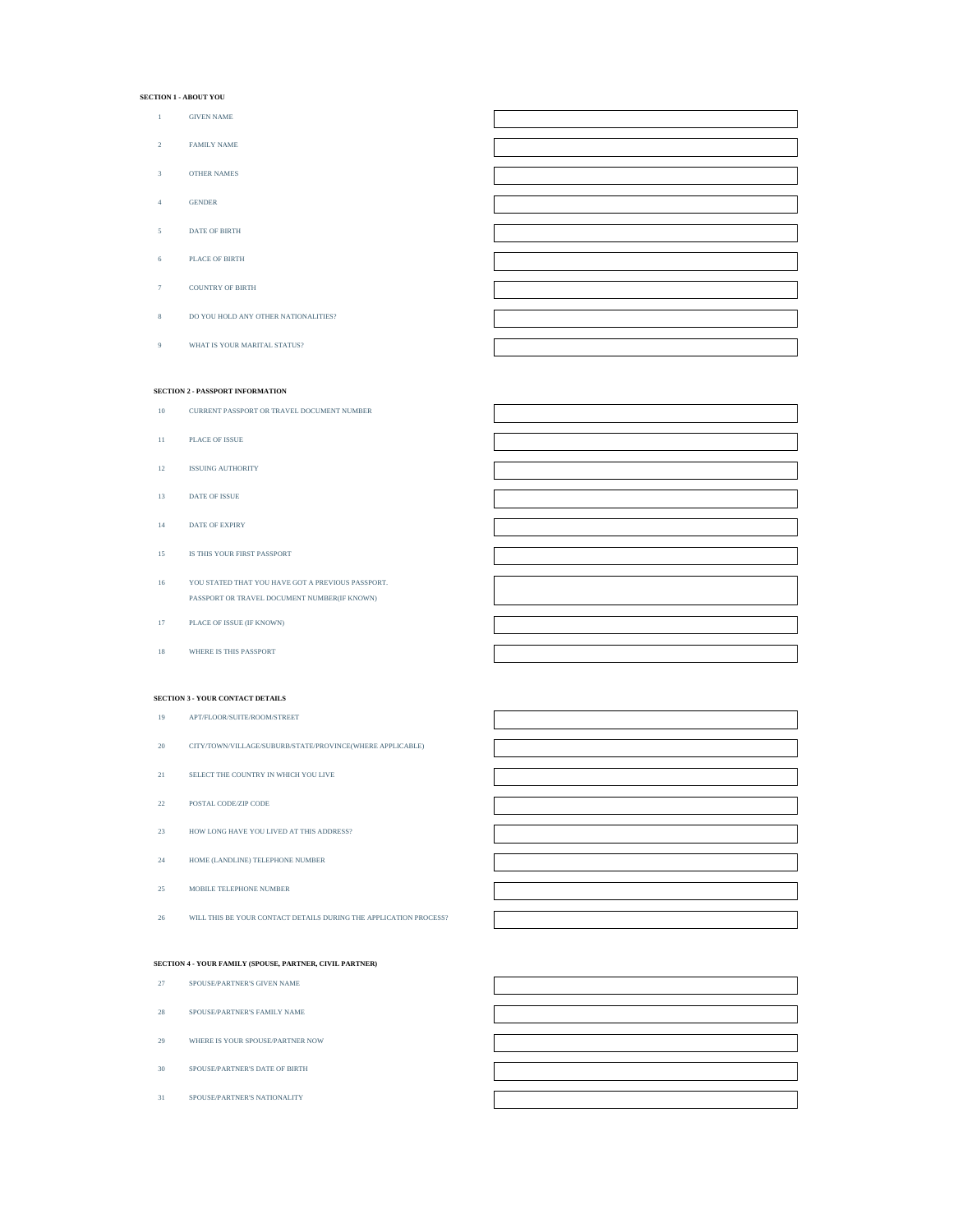#### **SECTION 1 - ABOUT YOU**

- GIVEN NAME
- FAMILY NAME
- OTHER NAMES
- GENDER
- DATE OF BIRTH
- PLACE OF BIRTH
- COUNTRY OF BIRTH
- DO YOU HOLD ANY OTHER NATIONALITIES?
- WHAT IS YOUR MARITAL STATUS?

## **SECTION 2 - PASSPORT INFORMATION**

- CURRENT PASSPORT OR TRAVEL DOCUMENT NUMBER
- PLACE OF ISSUE
- ISSUING AUTHORITY
- DATE OF ISSUE
- DATE OF EXPIRY
- IS THIS YOUR FIRST PASSPORT
- YOU STATED THAT YOU HAVE GOT A PREVIOUS PASSPORT. PASSPORT OR TRAVEL DOCUMENT NUMBER(IF KNOWN)
- PLACE OF ISSUE (IF KNOWN)
- WHERE IS THIS PASSPORT

## **SECTION 3 - YOUR CONTACT DETAILS**

- APT/FLOOR/SUITE/ROOM/STREET
- CITY/TOWN/VILLAGE/SUBURB/STATE/PROVINCE(WHERE APPLICABLE)
- SELECT THE COUNTRY IN WHICH YOU LIVE
- POSTAL CODE/ZIP CODE
- HOW LONG HAVE YOU LIVED AT THIS ADDRESS?
- HOME (LANDLINE) TELEPHONE NUMBER
- MOBILE TELEPHONE NUMBER
- WILL THIS BE YOUR CONTACT DETAILS DURING THE APPLICATION PROCESS?

#### **SECTION 4 - YOUR FAMILY (SPOUSE, PARTNER, CIVIL PARTNER)**

- SPOUSE/PARTNER'S GIVEN NAME
- SPOUSE/PARTNER'S FAMILY NAME
- WHERE IS YOUR SPOUSE/PARTNER NOW
- SPOUSE/PARTNER'S DATE OF BIRTH
- SPOUSE/PARTNER'S NATIONALITY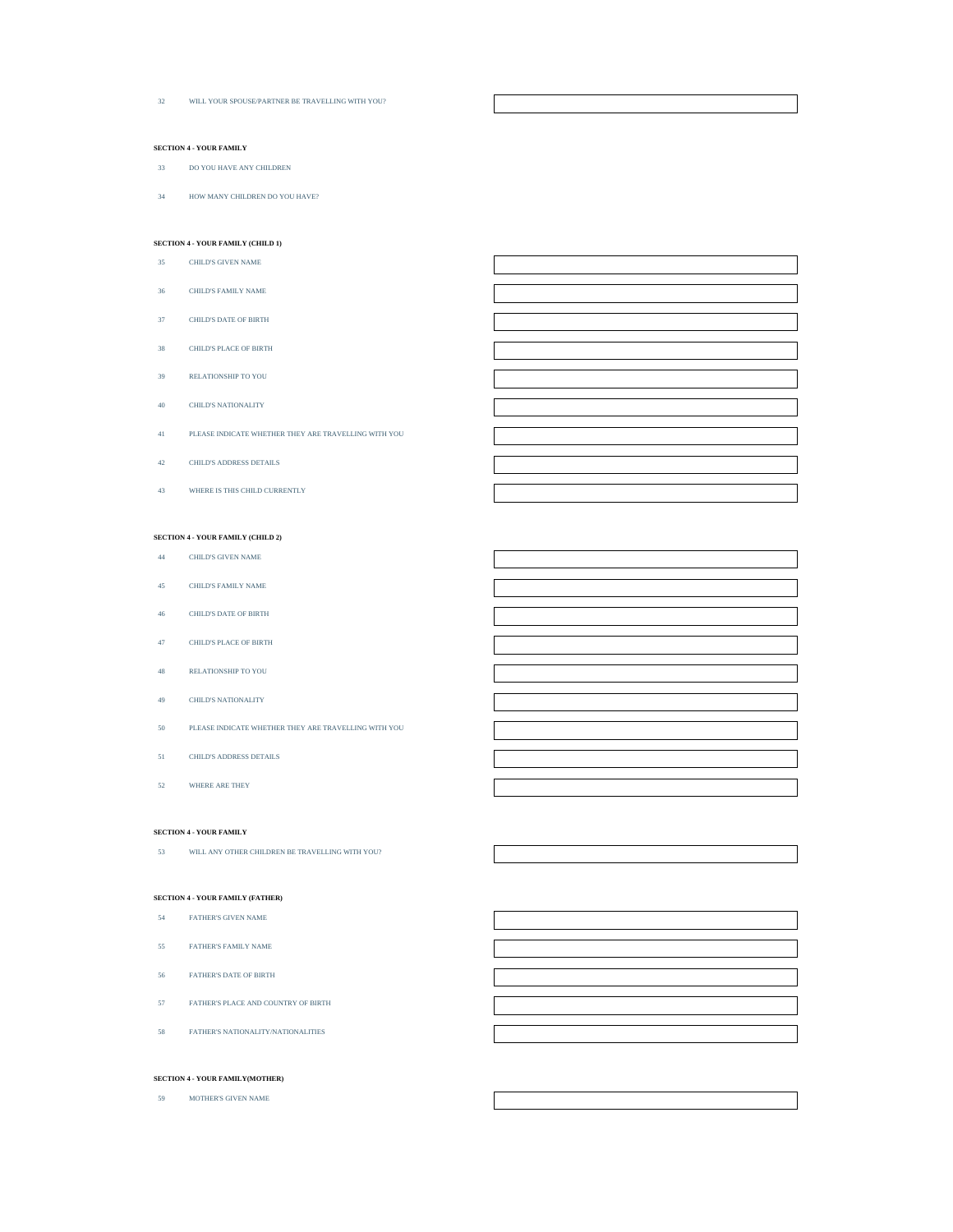WILL YOUR SPOUSE/PARTNER BE TRAVELLING WITH YOU?

# **SECTION 4 - YOUR FAMILY**

- DO YOU HAVE ANY CHILDREN
- HOW MANY CHILDREN DO YOU HAVE?

## **SECTION 4 - YOUR FAMILY (CHILD 1)**

- CHILD'S GIVEN NAME
- CHILD'S FAMILY NAME
- CHILD'S DATE OF BIRTH
- CHILD'S PLACE OF BIRTH
- RELATIONSHIP TO YOU
- CHILD'S NATIONALITY
- PLEASE INDICATE WHETHER THEY ARE TRAVELLING WITH YOU
- CHILD'S ADDRESS DETAILS
- WHERE IS THIS CHILD CURRENTLY

# **SECTION 4 - YOUR FAMILY (CHILD 2)**

- CHILD'S GIVEN NAME
- CHILD'S FAMILY NAME
- CHILD'S DATE OF BIRTH
- CHILD'S PLACE OF BIRTH
- RELATIONSHIP TO YOU
- CHILD'S NATIONALITY
- PLEASE INDICATE WHETHER THEY ARE TRAVELLING WITH YOU
- CHILD'S ADDRESS DETAILS
- WHERE ARE THEY

#### **SECTION 4 - YOUR FAMILY**

WILL ANY OTHER CHILDREN BE TRAVELLING WITH YOU?

#### **SECTION 4 - YOUR FAMILY (FATHER)**

#### FATHER'S GIVEN NAME

- FATHER'S FAMILY NAME
- FATHER'S DATE OF BIRTH
- FATHER'S PLACE AND COUNTRY OF BIRTH
- FATHER'S NATIONALITY/NATIONALITIES

## **SECTION 4 - YOUR FAMILY(MOTHER)**

MOTHER'S GIVEN NAME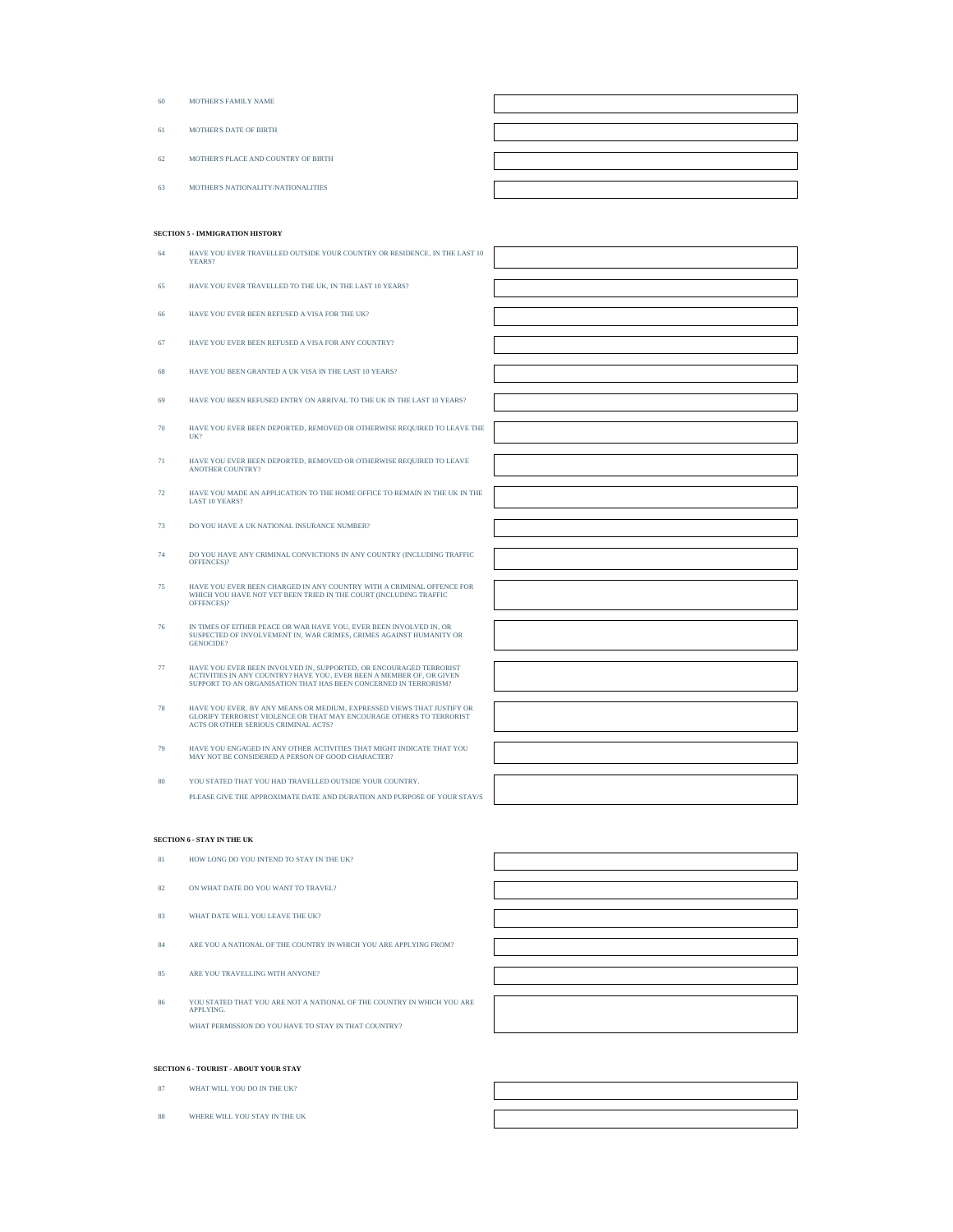| 60 | MOTHER'S FAMILY NAME                |  |
|----|-------------------------------------|--|
| 61 | <b>MOTHER'S DATE OF BIRTH</b>       |  |
| 62 | MOTHER'S PLACE AND COUNTRY OF BIRTH |  |
| 63 | MOTHER'S NATIONALITY/NATIONALITIES  |  |

# **SECTION 5 - IMMIGRATION HISTORY**

| 64 | HAVE YOU EVER TRAVELLED OUTSIDE YOUR COUNTRY OR RESIDENCE, IN THE LAST 10<br>YEARS?                                                                                                                            |  |
|----|----------------------------------------------------------------------------------------------------------------------------------------------------------------------------------------------------------------|--|
| 65 | HAVE YOU EVER TRAVELLED TO THE UK, IN THE LAST 10 YEARS?                                                                                                                                                       |  |
| 66 | HAVE YOU EVER BEEN REFUSED A VISA FOR THE UK?                                                                                                                                                                  |  |
| 67 | HAVE YOU EVER BEEN REFUSED A VISA FOR ANY COUNTRY?                                                                                                                                                             |  |
| 68 | HAVE YOU BEEN GRANTED A UK VISA IN THE LAST 10 YEARS?                                                                                                                                                          |  |
| 69 | HAVE YOU BEEN REFUSED ENTRY ON ARRIVAL TO THE UK IN THE LAST 10 YEARS?                                                                                                                                         |  |
| 70 | HAVE YOU EVER BEEN DEPORTED, REMOVED OR OTHERWISE REQUIRED TO LEAVE THE<br>UK?                                                                                                                                 |  |
| 71 | HAVE YOU EVER BEEN DEPORTED, REMOVED OR OTHERWISE REQUIRED TO LEAVE<br><b>ANOTHER COUNTRY?</b>                                                                                                                 |  |
| 72 | HAVE YOU MADE AN APPLICATION TO THE HOME OFFICE TO REMAIN IN THE UK IN THE<br>LAST 10 YEARS?                                                                                                                   |  |
| 73 | DO YOU HAVE A UK NATIONAL INSURANCE NUMBER?                                                                                                                                                                    |  |
| 74 | DO YOU HAVE ANY CRIMINAL CONVICTIONS IN ANY COUNTRY (INCLUDING TRAFFIC<br>OFFENCES)?                                                                                                                           |  |
| 75 | HAVE YOU EVER BEEN CHARGED IN ANY COUNTRY WITH A CRIMINAL OFFENCE FOR<br>WHICH YOU HAVE NOT YET BEEN TRIED IN THE COURT (INCLUDING TRAFFIC<br>OFFENCES)?                                                       |  |
| 76 | IN TIMES OF EITHER PEACE OR WAR HAVE YOU, EVER BEEN INVOLVED IN, OR<br>SUSPECTED OF INVOLVEMENT IN, WAR CRIMES, CRIMES AGAINST HUMANITY OR<br>GENOCIDE?                                                        |  |
| 77 | HAVE YOU EVER BEEN INVOLVED IN, SUPPORTED, OR ENCOURAGED TERRORIST<br>ACTIVITIES IN ANY COUNTRY? HAVE YOU. EVER BEEN A MEMBER OF, OR GIVEN<br>SUPPORT TO AN ORGANISATION THAT HAS BEEN CONCERNED IN TERRORISM? |  |
| 78 | HAVE YOU EVER, BY ANY MEANS OR MEDIUM, EXPRESSED VIEWS THAT JUSTIFY OR<br>GLORIFY TERRORIST VIOLENCE OR THAT MAY ENCOURAGE OTHERS TO TERRORIST<br>ACTS OR OTHER SERIOUS CRIMINAL ACTS?                         |  |
| 79 | HAVE YOU ENGAGED IN ANY OTHER ACTIVITIES THAT MIGHT INDICATE THAT YOU<br>MAY NOT BE CONSIDERED A PERSON OF GOOD CHARACTER?                                                                                     |  |
| 80 | YOU STATED THAT YOU HAD TRAVELLED OUTSIDE YOUR COUNTRY.                                                                                                                                                        |  |
|    | PLEASE GIVE THE APPROXIMATE DATE AND DURATION AND PURPOSE OF YOUR STAY/S                                                                                                                                       |  |

# **SECTION 6 - STAY IN THE UK**

| 81  | HOW LONG DO YOU INTEND TO STAY IN THE UK?                                           |  |
|-----|-------------------------------------------------------------------------------------|--|
| 82  | ON WHAT DATE DO YOU WANT TO TRAVEL?                                                 |  |
| 83. | WHAT DATE WILL YOU LEAVE THE UK?                                                    |  |
| 84  | ARE YOU A NATIONAL OF THE COUNTRY IN WHICH YOU ARE APPLYING FROM?                   |  |
| 85  | ARE YOU TRAVELLING WITH ANYONE?                                                     |  |
| 86  | YOU STATED THAT YOU ARE NOT A NATIONAL OF THE COUNTRY IN WHICH YOU ARE<br>APPLYING. |  |

# **SECTION 6 - TOURIST - ABOUT YOUR STAY**

WHAT PERMISSION DO YOU HAVE TO STAY IN THAT COUNTRY?

- 87 WHAT WILL YOU DO IN THE UK?
- 88 WHERE WILL YOU STAY IN THE UK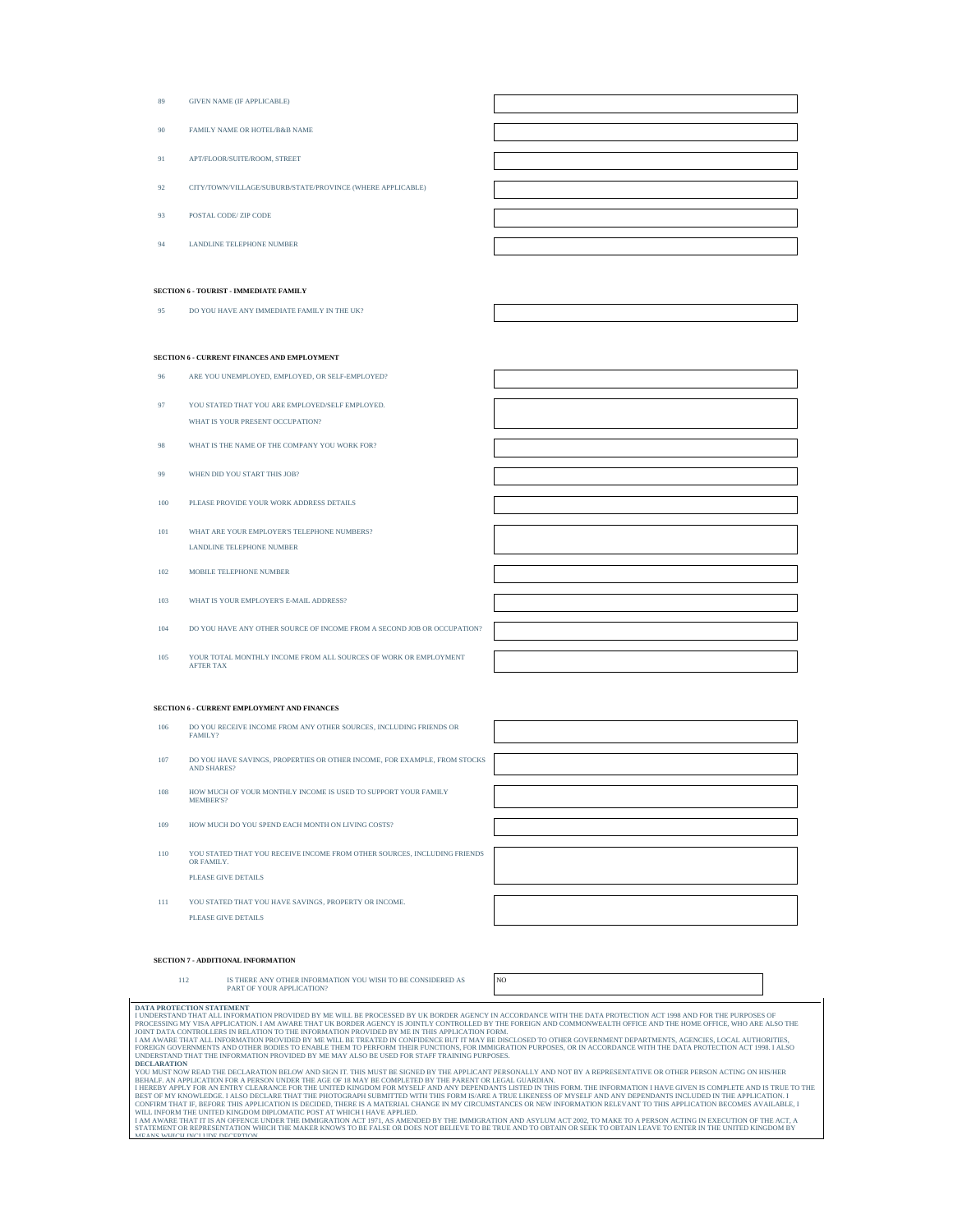- 89 GIVEN NAME (IF APPLICABLE)
- 90 FAMILY NAME OR HOTEL/B&B NAME
- 91 APT/FLOOR/SUITE/ROOM, STREET
- 92 CITY/TOWN/VILLAGE/SUBURB/STATE/PROVINCE (WHERE APPLICABLE)
- 93 POSTAL CODE/ ZIP CODE
- 94 LANDLINE TELEPHONE NUMBER

## **SECTION 6 - TOURIST - IMMEDIATE FAMILY**

95 DO YOU HAVE ANY IMMEDIATE FAMILY IN THE UK?

### **SECTION 6 - CURRENT FINANCES AND EMPLOYMENT**

- ARE YOU UNEMPLOYED, EMPLOYED, OR SELF-EMPLOYED?
- 97 YOU STATED THAT YOU ARE EMPLOYED/SELF EMPLOYED. WHAT IS YOUR PRESENT OCCUPATION?
- 98 WHAT IS THE NAME OF THE COMPANY YOU WORK FOR?
- 99 WHEN DID YOU START THIS JOB?
- 100 PLEASE PROVIDE YOUR WORK ADDRESS DETAILS
- 101 WHAT ARE YOUR EMPLOYER'S TELEPHONE NUMBERS? LANDLINE TELEPHONE NUMBER
- 102 MOBILE TELEPHONE NUMBER
- 103 WHAT IS YOUR EMPLOYER'S E-MAIL ADDRESS?
- 104 DO YOU HAVE ANY OTHER SOURCE OF INCOME FROM A SECOND JOB OR OCCUPATION?
- 105 YOUR TOTAL MONTHLY INCOME FROM ALL SOURCES OF WORK OR EMPLOYMENT AFTER TAX

## **SECTION 6 - CURRENT EMPLOYMENT AND FINANCES**

- 106 DO YOU RECEIVE INCOME FROM ANY OTHER SOURCES, INCLUDING FRIENDS OR **FAMILY**
- 107 DO YOU HAVE SAVINGS, PROPERTIES OR OTHER INCOME, FOR EXAMPLE, FROM STOCKS **AND SHARES**
- 108 HOW MUCH OF YOUR MONTHLY INCOME IS USED TO SUPPORT YOUR FAMILY MEMBER'S?
- 109 HOW MUCH DO YOU SPEND EACH MONTH ON LIVING COSTS?
- 110 YOU STATED THAT YOU RECEIVE INCOME FROM OTHER SOURCES, INCLUDING FRIENDS OR FAMILY. PLEASE GIVE DETAILS
- 111 YOU STATED THAT YOU HAVE SAVINGS. PROPERTY OR INCOME. PLEASE GIVE DETAILS



## **SECTION 7 - ADDITIONAL INFORMATION**

**DATA PROTECTION STATEMENT** 

112 IS THERE ANY OTHER INFORMATION YOU WISH TO BE CONSIDERED AS PART OF YOUR APPLICATION?

NO

I UNDERSTAND THAT ALL INFORMATION PROVIDED BY ME WILL BE PROCESSED BY UK BORDER AGENCY IN ACCORDANCE WITH THE DATA PROTECTION ACT 1998 AND FOR THE PURPOSES OF PROCESSING MY VISA APPLICATION. I AM AWARE THAT UK BORDER AGENCY IS JOINTLY CONTROLLED BY THE FOREIGN AND COMMONWEALTH OFFICE AND THE HOME OFFICE, WHO ARE ALSO THE JOINT DATA CONTROLLERS IN RELATION TO THE INFORMATION PROVIDED BY ME IN THIS APPLICATION FORM. TO THER GOVERNMENT DEPARTMENTS, AGENCIES, LOCAL AUTHORITIES,<br>FOMEIGN GOVERNMENTS AND OTHER BODIES TO ENABLE THEM TO PERFORM THE

**DECLARATION**<br>YOU MUST NOW READ THE DECLARATION BELOW AND SIGN IT. THIS MUST BE SIGNED BY THE APPLICANT PERSONALLY AND NOT BY A REPRESENTATIVE OR OTHER PERSON ACTING ON HIS/HER<br>BEHALF. AN APPLICATION FOR A PERSON UNDER THE